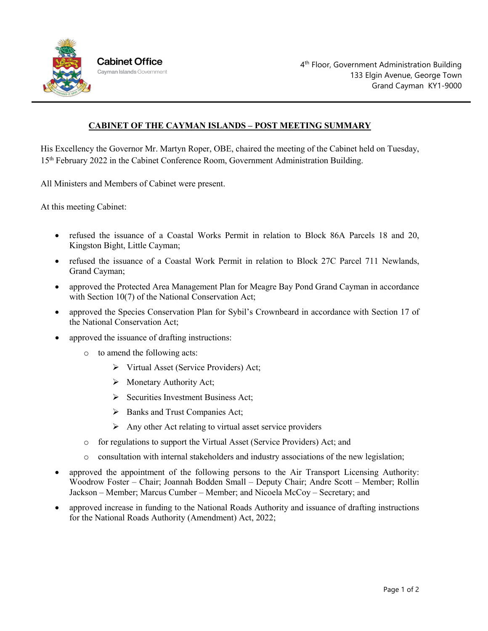

## **CABINET OF THE CAYMAN ISLANDS – POST MEETING SUMMARY**

His Excellency the Governor Mr. Martyn Roper, OBE, chaired the meeting of the Cabinet held on Tuesday, 15th February 2022 in the Cabinet Conference Room, Government Administration Building.

All Ministers and Members of Cabinet were present.

At this meeting Cabinet:

- refused the issuance of a Coastal Works Permit in relation to Block 86A Parcels 18 and 20, Kingston Bight, Little Cayman;
- refused the issuance of a Coastal Work Permit in relation to Block 27C Parcel 711 Newlands, Grand Cayman;
- approved the Protected Area Management Plan for Meagre Bay Pond Grand Cayman in accordance with Section 10(7) of the National Conservation Act;
- approved the Species Conservation Plan for Sybil's Crownbeard in accordance with Section 17 of the National Conservation Act;
- approved the issuance of drafting instructions:
	- o to amend the following acts:
		- Virtual Asset (Service Providers) Act;
		- $\triangleright$  Monetary Authority Act;
		- $\triangleright$  Securities Investment Business Act;
		- $\triangleright$  Banks and Trust Companies Act;
		- $\triangleright$  Any other Act relating to virtual asset service providers
	- o for regulations to support the Virtual Asset (Service Providers) Act; and
	- o consultation with internal stakeholders and industry associations of the new legislation;
- approved the appointment of the following persons to the Air Transport Licensing Authority: Woodrow Foster – Chair; Joannah Bodden Small – Deputy Chair; Andre Scott – Member; Rollin Jackson – Member; Marcus Cumber – Member; and Nicoela McCoy – Secretary; and
- approved increase in funding to the National Roads Authority and issuance of drafting instructions for the National Roads Authority (Amendment) Act, 2022;